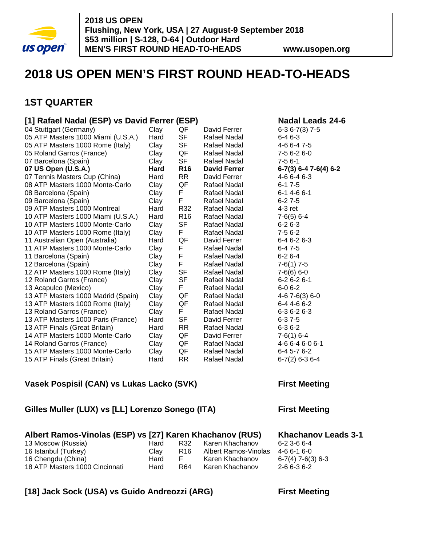

# **2018 US OPEN MEN'S FIRST ROUND HEAD-TO-HEADS**

## **1ST QUARTER**

## **[1] Rafael Nadal (ESP) vs David Ferrer (ESP) Nadal Leads 24-6**

| 04 Stuttgart (Germany)             | Clay | QF              | David Ferrer        | $6-36-7(3)$ 7-5         |
|------------------------------------|------|-----------------|---------------------|-------------------------|
| 05 ATP Masters 1000 Miami (U.S.A.) | Hard | SF              | Rafael Nadal        | 6-4 6-3                 |
| 05 ATP Masters 1000 Rome (Italy)   | Clay | <b>SF</b>       | Rafael Nadal        | 4-6 6-4 7-5             |
| 05 Roland Garros (France)          | Clay | QF              | Rafael Nadal        | 7-5 6-2 6-0             |
| 07 Barcelona (Spain)               | Clay | SF              | Rafael Nadal        | $7-56-1$                |
| 07 US Open (U.S.A.)                | Hard | <b>R16</b>      | <b>David Ferrer</b> | $6-7(3)$ 6-4 7-6(4) 6-2 |
| 07 Tennis Masters Cup (China)      | Hard | <b>RR</b>       | David Ferrer        | 4-6 6-4 6-3             |
| 08 ATP Masters 1000 Monte-Carlo    | Clay | QF              | Rafael Nadal        | $6 - 17 - 5$            |
| 08 Barcelona (Spain)               | Clay | F               | Rafael Nadal        | $6 - 1$ 4 - 6 $6 - 1$   |
| 09 Barcelona (Spain)               | Clay | F               | Rafael Nadal        | $6 - 27 - 5$            |
| 09 ATP Masters 1000 Montreal       | Hard | R32             | Rafael Nadal        | $4-3$ ret               |
| 10 ATP Masters 1000 Miami (U.S.A.) | Hard | R <sub>16</sub> | Rafael Nadal        | $7-6(5)$ 6-4            |
| 10 ATP Masters 1000 Monte-Carlo    | Clay | SF              | Rafael Nadal        | $6 - 26 - 3$            |
| 10 ATP Masters 1000 Rome (Italy)   | Clay | F.              | Rafael Nadal        | 7-5 6-2                 |
| 11 Australian Open (Australia)     | Hard | QF              | David Ferrer        | $6 - 46 - 26 - 3$       |
| 11 ATP Masters 1000 Monte-Carlo    | Clay | F               | Rafael Nadal        | $6 - 47 - 5$            |
| 11 Barcelona (Spain)               | Clay | F               | Rafael Nadal        | $6 - 26 - 4$            |
| 12 Barcelona (Spain)               | Clay | F.              | Rafael Nadal        | $7-6(1)$ 7-5            |
| 12 ATP Masters 1000 Rome (Italy)   | Clay | <b>SF</b>       | Rafael Nadal        | $7-6(6)$ 6-0            |
| 12 Roland Garros (France)          | Clay | SF              | Rafael Nadal        | $6 - 26 - 26 - 1$       |
| 13 Acapulco (Mexico)               | Clay | F.              | Rafael Nadal        | $6 - 06 - 2$            |
| 13 ATP Masters 1000 Madrid (Spain) | Clay | QF              | Rafael Nadal        | 4-6 7-6(3) 6-0          |
| 13 ATP Masters 1000 Rome (Italy)   | Clay | QF              | Rafael Nadal        | 6-4 4-6 6-2             |
| 13 Roland Garros (France)          | Clay | F.              | Rafael Nadal        | $6 - 36 - 26 - 3$       |
| 13 ATP Masters 1000 Paris (France) | Hard | <b>SF</b>       | David Ferrer        | 6-37-5                  |
| 13 ATP Finals (Great Britain)      | Hard | <b>RR</b>       | Rafael Nadal        | $6 - 36 - 2$            |
| 14 ATP Masters 1000 Monte-Carlo    | Clay | QF              | David Ferrer        | $7-6(1)$ 6-4            |
| 14 Roland Garros (France)          | Clay | QF              | Rafael Nadal        | 4-6 6-4 6-0 6-1         |
| 15 ATP Masters 1000 Monte-Carlo    | Clay | QF              | Rafael Nadal        | $6-45-76-2$             |
| 15 ATP Finals (Great Britain)      | Hard | <b>RR</b>       | Rafael Nadal        | $6-7(2)$ 6-3 6-4        |
|                                    |      |                 |                     |                         |

## **Vasek Pospisil (CAN) vs Lukas Lacko (SVK)** First Meeting

## **Gilles Muller (LUX) vs [LL] Lorenzo Sonego (ITA) First Meeting**

### **Albert Ramos-Vinolas (ESP) vs [27] Karen Khachanov (RUS) Khachanov Leads 3-1**

| 13 Moscow (Russia)             | Hard | R32             | Karen Khachanov     |
|--------------------------------|------|-----------------|---------------------|
| 16 Istanbul (Turkey)           | Clav | R <sub>16</sub> | Albert Ramos-Vinola |
| 16 Chengdu (China)             | Hard | F.              | Karen Khachanov     |
| 18 ATP Masters 1000 Cincinnati | Hard | R64             | Karen Khachanov     |

6-2 3-6 6-4 as 4-6 6-1 6-0  $6 - 7(4)$  7-6(3) 6-3 2-6 6-3 6-2

## **[18] Jack Sock (USA) vs Guido Andreozzi (ARG) First Meeting**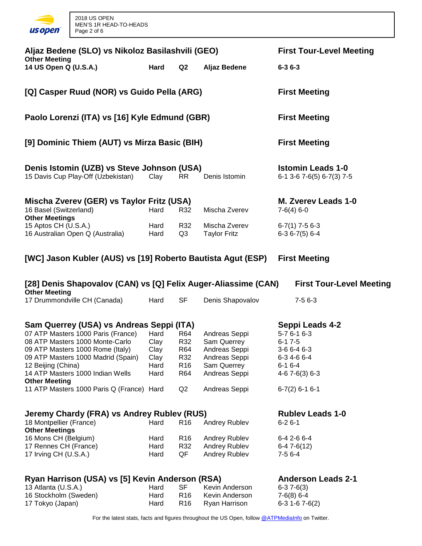

| Aljaz Bedene (SLO) vs Nikoloz Basilashvili (GEO)<br><b>Other Meeting</b><br>14 US Open Q (U.S.A.)                                                                                                                                                                                                                          | <b>First Tour-Level Meeting</b><br>$6 - 36 - 3$ |                                                          |                                                                                                                 |                                                                                                                                          |
|----------------------------------------------------------------------------------------------------------------------------------------------------------------------------------------------------------------------------------------------------------------------------------------------------------------------------|-------------------------------------------------|----------------------------------------------------------|-----------------------------------------------------------------------------------------------------------------|------------------------------------------------------------------------------------------------------------------------------------------|
| [Q] Casper Ruud (NOR) vs Guido Pella (ARG)                                                                                                                                                                                                                                                                                 |                                                 |                                                          |                                                                                                                 | <b>First Meeting</b>                                                                                                                     |
| Paolo Lorenzi (ITA) vs [16] Kyle Edmund (GBR)                                                                                                                                                                                                                                                                              |                                                 |                                                          |                                                                                                                 | <b>First Meeting</b>                                                                                                                     |
| [9] Dominic Thiem (AUT) vs Mirza Basic (BIH)                                                                                                                                                                                                                                                                               |                                                 |                                                          |                                                                                                                 | <b>First Meeting</b>                                                                                                                     |
| Denis Istomin (UZB) vs Steve Johnson (USA)<br>15 Davis Cup Play-Off (Uzbekistan)                                                                                                                                                                                                                                           | Clay                                            | RR.                                                      | Denis Istomin                                                                                                   | <b>Istomin Leads 1-0</b><br>$6-1$ 3-6 7-6(5) $6-7(3)$ 7-5                                                                                |
| Mischa Zverev (GER) vs Taylor Fritz (USA)<br>16 Basel (Switzerland)                                                                                                                                                                                                                                                        | Hard                                            | R32                                                      | Mischa Zverev                                                                                                   | M. Zverev Leads 1-0<br>$7-6(4)$ 6-0                                                                                                      |
| <b>Other Meetings</b><br>15 Aptos CH (U.S.A.)<br>16 Australian Open Q (Australia)                                                                                                                                                                                                                                          | Hard<br>Hard                                    | R32<br>Q3                                                | Mischa Zverev<br><b>Taylor Fritz</b>                                                                            | $6-7(1)$ 7-5 6-3<br>$6-36-7(5)6-4$                                                                                                       |
| [WC] Jason Kubler (AUS) vs [19] Roberto Bautista Agut (ESP)                                                                                                                                                                                                                                                                |                                                 |                                                          |                                                                                                                 | <b>First Meeting</b>                                                                                                                     |
| [28] Denis Shapovalov (CAN) vs [Q] Felix Auger-Aliassime (CAN)<br><b>Other Meeting</b>                                                                                                                                                                                                                                     |                                                 |                                                          |                                                                                                                 | <b>First Tour-Level Meeting</b>                                                                                                          |
| 17 Drummondville CH (Canada)                                                                                                                                                                                                                                                                                               | Hard                                            | <b>SF</b>                                                | Denis Shapovalov                                                                                                | $7-56-3$                                                                                                                                 |
|                                                                                                                                                                                                                                                                                                                            |                                                 |                                                          |                                                                                                                 |                                                                                                                                          |
| Sam Querrey (USA) vs Andreas Seppi (ITA)<br>07 ATP Masters 1000 Paris (France)<br>08 ATP Masters 1000 Monte-Carlo<br>09 ATP Masters 1000 Rome (Italy)<br>09 ATP Masters 1000 Madrid (Spain)<br>12 Beijing (China)<br>14 ATP Masters 1000 Indian Wells<br><b>Other Meeting</b><br>11 ATP Masters 1000 Paris Q (France) Hard | Hard<br>Clay<br>Clay<br>Clay<br>Hard<br>Hard    | R64<br>R32<br>R64<br>R32<br>R <sub>16</sub><br>R64<br>Q2 | Andreas Seppi<br>Sam Querrey<br>Andreas Seppi<br>Andreas Seppi<br>Sam Querrey<br>Andreas Seppi<br>Andreas Seppi | Seppi Leads 4-2<br>$5 - 76 - 16 - 3$<br>$6 - 17 - 5$<br>3-6 6-4 6-3<br>6-3 4-6 6-4<br>$6 - 16 - 4$<br>$4-67-6(3)6-3$<br>$6-7(2)$ 6-1 6-1 |
| Jeremy Chardy (FRA) vs Andrey Rublev (RUS)<br>18 Montpellier (France)<br><b>Other Meetings</b><br>16 Mons CH (Belgium)<br>17 Rennes CH (France)<br>17 Irving CH (U.S.A.)                                                                                                                                                   | Hard<br>Hard<br>Hard<br>Hard                    | R <sub>16</sub><br>R <sub>16</sub><br>R32<br>QF          | Andrey Rublev<br>Andrey Rublev<br>Andrey Rublev<br>Andrey Rublev                                                | <b>Rubley Leads 1-0</b><br>$6 - 26 - 1$<br>6-4 2-6 6-4<br>$6-47-6(12)$<br>$7-56-4$                                                       |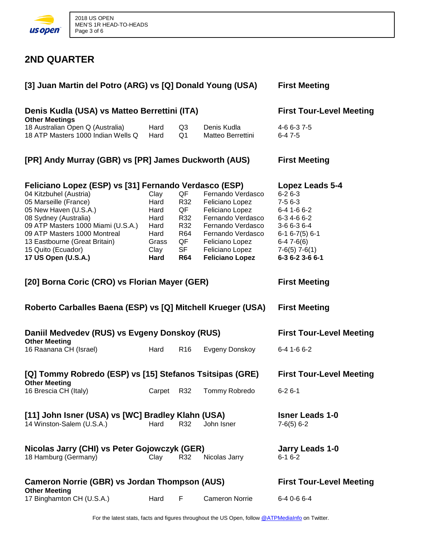

## **2ND QUARTER**

| [3] Juan Martin del Potro (ARG) vs [Q] Donald Young (USA)                                                                                                                                                                                             | <b>First Meeting</b>                                                  |                                                                       |                                                                                                                                                                                        |                                                                                                                                                |
|-------------------------------------------------------------------------------------------------------------------------------------------------------------------------------------------------------------------------------------------------------|-----------------------------------------------------------------------|-----------------------------------------------------------------------|----------------------------------------------------------------------------------------------------------------------------------------------------------------------------------------|------------------------------------------------------------------------------------------------------------------------------------------------|
| Denis Kudla (USA) vs Matteo Berrettini (ITA)<br><b>Other Meetings</b>                                                                                                                                                                                 | <b>First Tour-Level Meeting</b>                                       |                                                                       |                                                                                                                                                                                        |                                                                                                                                                |
| 18 Australian Open Q (Australia)<br>18 ATP Masters 1000 Indian Wells Q                                                                                                                                                                                | Hard<br>Hard                                                          | Q3<br>Q1                                                              | Denis Kudla<br>Matteo Berrettini                                                                                                                                                       | 4-6 6-3 7-5<br>$6-47-5$                                                                                                                        |
| [PR] Andy Murray (GBR) vs [PR] James Duckworth (AUS)                                                                                                                                                                                                  | <b>First Meeting</b>                                                  |                                                                       |                                                                                                                                                                                        |                                                                                                                                                |
| Feliciano Lopez (ESP) vs [31] Fernando Verdasco (ESP)                                                                                                                                                                                                 | Lopez Leads 5-4                                                       |                                                                       |                                                                                                                                                                                        |                                                                                                                                                |
| 04 Kitzbuhel (Austria)<br>05 Marseille (France)<br>05 New Haven (U.S.A.)<br>08 Sydney (Australia)<br>09 ATP Masters 1000 Miami (U.S.A.)<br>09 ATP Masters 1000 Montreal<br>13 Eastbourne (Great Britain)<br>15 Quito (Ecuador)<br>17 US Open (U.S.A.) | Clay<br>Hard<br>Hard<br>Hard<br>Hard<br>Hard<br>Grass<br>Clay<br>Hard | QF<br>R32<br>QF<br>R32<br>R32<br>R64<br>QF<br><b>SF</b><br><b>R64</b> | Fernando Verdasco<br>Feliciano Lopez<br>Feliciano Lopez<br>Fernando Verdasco<br>Fernando Verdasco<br>Fernando Verdasco<br>Feliciano Lopez<br>Feliciano Lopez<br><b>Feliciano Lopez</b> | $6 - 26 - 3$<br>$7-56-3$<br>6-4 1-6 6-2<br>6-3 4-6 6-2<br>3-6 6-3 6-4<br>$6-16-7(5)6-1$<br>$6-47-6(6)$<br>$7-6(5)$ $7-6(1)$<br>6-3 6-2 3-6 6-1 |
| [20] Borna Coric (CRO) vs Florian Mayer (GER)                                                                                                                                                                                                         |                                                                       |                                                                       |                                                                                                                                                                                        | <b>First Meeting</b>                                                                                                                           |
| Roberto Carballes Baena (ESP) vs [Q] Mitchell Krueger (USA)                                                                                                                                                                                           |                                                                       |                                                                       |                                                                                                                                                                                        | <b>First Meeting</b>                                                                                                                           |
| Daniil Medvedev (RUS) vs Evgeny Donskoy (RUS)                                                                                                                                                                                                         |                                                                       |                                                                       |                                                                                                                                                                                        | <b>First Tour-Level Meeting</b>                                                                                                                |
| <b>Other Meeting</b><br>16 Raanana CH (Israel)                                                                                                                                                                                                        | Hard                                                                  | R <sub>16</sub>                                                       | Evgeny Donskoy                                                                                                                                                                         | 6-4 1-6 6-2                                                                                                                                    |
| [Q] Tommy Robredo (ESP) vs [15] Stefanos Tsitsipas (GRE)<br><b>Other Meeting</b>                                                                                                                                                                      |                                                                       |                                                                       |                                                                                                                                                                                        | <b>First Tour-Level Meeting</b>                                                                                                                |
| 16 Brescia CH (Italy)                                                                                                                                                                                                                                 | Carpet                                                                | R32                                                                   | Tommy Robredo                                                                                                                                                                          | $6 - 26 - 1$                                                                                                                                   |
| [11] John Isner (USA) vs [WC] Bradley Klahn (USA)<br>14 Winston-Salem (U.S.A.)                                                                                                                                                                        | Hard                                                                  | R32                                                                   | John Isner                                                                                                                                                                             | <b>Isner Leads 1-0</b><br>$7-6(5)$ 6-2                                                                                                         |
| Nicolas Jarry (CHI) vs Peter Gojowczyk (GER)<br>18 Hamburg (Germany)                                                                                                                                                                                  | Clay                                                                  | R32                                                                   | Nicolas Jarry                                                                                                                                                                          | <b>Jarry Leads 1-0</b><br>$6 - 16 - 2$                                                                                                         |
| <b>Cameron Norrie (GBR) vs Jordan Thompson (AUS)</b><br><b>Other Meeting</b>                                                                                                                                                                          |                                                                       |                                                                       |                                                                                                                                                                                        | <b>First Tour-Level Meeting</b>                                                                                                                |
| 17 Binghamton CH (U.S.A.)                                                                                                                                                                                                                             | Hard                                                                  | F                                                                     | <b>Cameron Norrie</b>                                                                                                                                                                  | 6-4 0-6 6-4                                                                                                                                    |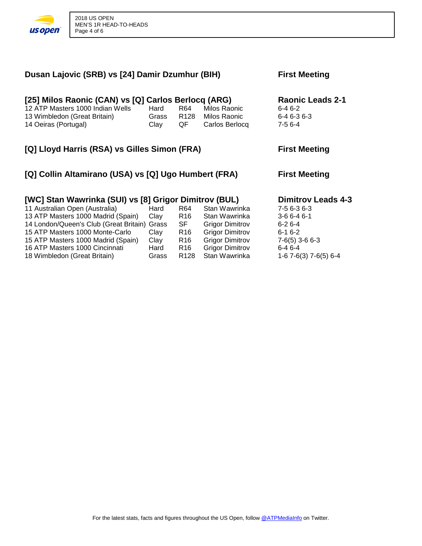

18 Wimbledon (Great Britain)

| Dusan Lajovic (SRB) vs [24] Damir Dzumhur (BIH)                                                                                                                                                                                                                                          | <b>First Meeting</b>                 |                                                          |                                                                                                                                        |                                                                                                                             |
|------------------------------------------------------------------------------------------------------------------------------------------------------------------------------------------------------------------------------------------------------------------------------------------|--------------------------------------|----------------------------------------------------------|----------------------------------------------------------------------------------------------------------------------------------------|-----------------------------------------------------------------------------------------------------------------------------|
| [25] Milos Raonic (CAN) vs [Q] Carlos Berlocq (ARG)<br>12 ATP Masters 1000 Indian Wells<br>13 Wimbledon (Great Britain)<br>14 Oeiras (Portugal)                                                                                                                                          | Hard<br>Grass<br>Clay                | R64<br>R128<br>QF                                        | Milos Raonic<br>Milos Raonic<br>Carlos Berlocq                                                                                         | Raonic Leads 2-1<br>$6 - 46 - 2$<br>$6 - 46 - 36 - 3$<br>$7-56-4$                                                           |
| [Q] Lloyd Harris (RSA) vs Gilles Simon (FRA)                                                                                                                                                                                                                                             |                                      |                                                          |                                                                                                                                        | <b>First Meeting</b>                                                                                                        |
| [Q] Collin Altamirano (USA) vs [Q] Ugo Humbert (FRA)                                                                                                                                                                                                                                     | <b>First Meeting</b>                 |                                                          |                                                                                                                                        |                                                                                                                             |
| [WC] Stan Wawrinka (SUI) vs [8] Grigor Dimitrov (BUL)<br>11 Australian Open (Australia)<br>13 ATP Masters 1000 Madrid (Spain)<br>14 London/Queen's Club (Great Britain) Grass<br>15 ATP Masters 1000 Monte-Carlo<br>15 ATP Masters 1000 Madrid (Spain)<br>16 ATP Masters 1000 Cincinnati | Hard<br>Clay<br>Clay<br>Clay<br>Hard | R64<br>R16<br><b>SF</b><br>R <sub>16</sub><br>R16<br>R16 | Stan Wawrinka<br>Stan Wawrinka<br><b>Grigor Dimitrov</b><br><b>Grigor Dimitrov</b><br><b>Grigor Dimitrov</b><br><b>Grigor Dimitrov</b> | <b>Dimitrov Leads 4-3</b><br>7-5 6-3 6-3<br>$3-66-46-1$<br>$6 - 26 - 4$<br>$6 - 16 - 2$<br>$7-6(5)$ 3-6 6-3<br>$6 - 46 - 4$ |

16 ATP Masters 1000 Cincinnati Hard R16 Grigor Dimitrov 6-4 6-4<br>18 Wimbledon (Great Britain) Grass R128 Stan Wawrinka 1-6 7-6(3) 7-6(5) 6-4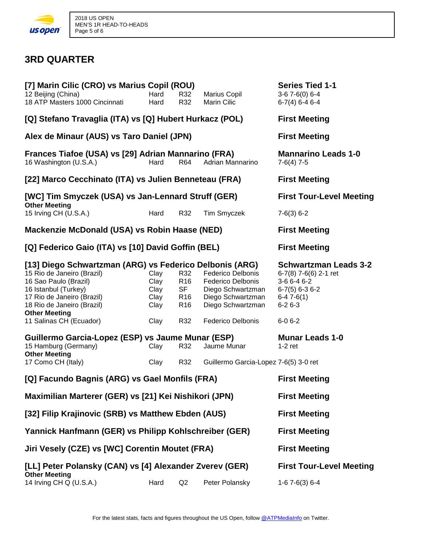

## **3RD QUARTER**

| [7] Marin Cilic (CRO) vs Marius Copil (ROU)<br>12 Beijing (China)                                                                                                                                  | Hard                                       | R32                                                                       | Marius Copil                                                                                                        | <b>Series Tied 1-1</b><br>$3-67-6(0)6-4$                                                                                |  |  |
|----------------------------------------------------------------------------------------------------------------------------------------------------------------------------------------------------|--------------------------------------------|---------------------------------------------------------------------------|---------------------------------------------------------------------------------------------------------------------|-------------------------------------------------------------------------------------------------------------------------|--|--|
| 18 ATP Masters 1000 Cincinnati                                                                                                                                                                     | Hard                                       | R32                                                                       | <b>Marin Cilic</b>                                                                                                  | $6-7(4)$ 6-4 6-4                                                                                                        |  |  |
| [Q] Stefano Travaglia (ITA) vs [Q] Hubert Hurkacz (POL)                                                                                                                                            |                                            |                                                                           |                                                                                                                     | <b>First Meeting</b>                                                                                                    |  |  |
| Alex de Minaur (AUS) vs Taro Daniel (JPN)                                                                                                                                                          | <b>First Meeting</b>                       |                                                                           |                                                                                                                     |                                                                                                                         |  |  |
| Frances Tiafoe (USA) vs [29] Adrian Mannarino (FRA)<br>16 Washington (U.S.A.)                                                                                                                      | <b>Mannarino Leads 1-0</b><br>$7-6(4)$ 7-5 |                                                                           |                                                                                                                     |                                                                                                                         |  |  |
| [22] Marco Cecchinato (ITA) vs Julien Benneteau (FRA)                                                                                                                                              |                                            |                                                                           |                                                                                                                     | <b>First Meeting</b>                                                                                                    |  |  |
| [WC] Tim Smyczek (USA) vs Jan-Lennard Struff (GER)                                                                                                                                                 |                                            |                                                                           |                                                                                                                     | <b>First Tour-Level Meeting</b>                                                                                         |  |  |
| <b>Other Meeting</b><br>15 Irving CH (U.S.A.)                                                                                                                                                      | Hard                                       | R32                                                                       | Tim Smyczek                                                                                                         | $7-6(3) 6-2$                                                                                                            |  |  |
| Mackenzie McDonald (USA) vs Robin Haase (NED)                                                                                                                                                      |                                            |                                                                           |                                                                                                                     | <b>First Meeting</b>                                                                                                    |  |  |
| [Q] Federico Gaio (ITA) vs [10] David Goffin (BEL)                                                                                                                                                 |                                            |                                                                           |                                                                                                                     | <b>First Meeting</b>                                                                                                    |  |  |
| [13] Diego Schwartzman (ARG) vs Federico Delbonis (ARG)<br>15 Rio de Janeiro (Brazil)<br>16 Sao Paulo (Brazil)<br>16 Istanbul (Turkey)<br>17 Rio de Janeiro (Brazil)<br>18 Rio de Janeiro (Brazil) | Clay<br>Clay<br>Clay<br>Clay<br>Clay       | R32<br>R <sub>16</sub><br><b>SF</b><br>R <sub>16</sub><br>R <sub>16</sub> | <b>Federico Delbonis</b><br><b>Federico Delbonis</b><br>Diego Schwartzman<br>Diego Schwartzman<br>Diego Schwartzman | <b>Schwartzman Leads 3-2</b><br>6-7(8) 7-6(6) 2-1 ret<br>3-6 6-4 6-2<br>$6-7(5)$ 6-3 6-2<br>$6-47-6(1)$<br>$6 - 26 - 3$ |  |  |
| <b>Other Meeting</b><br>11 Salinas CH (Ecuador)                                                                                                                                                    | Clay                                       | R32                                                                       | Federico Delbonis                                                                                                   | $6 - 06 - 2$                                                                                                            |  |  |
| Guillermo Garcia-Lopez (ESP) vs Jaume Munar (ESP)<br>15 Hamburg (Germany)<br><b>Other Meeting</b><br>17 Como CH (Italy)                                                                            | Clay<br>Clay                               | R32<br>R32                                                                | Jaume Munar<br>Guillermo Garcia-Lopez 7-6(5) 3-0 ret                                                                | <b>Munar Leads 1-0</b><br>$1-2$ ret                                                                                     |  |  |
| [Q] Facundo Bagnis (ARG) vs Gael Monfils (FRA)                                                                                                                                                     |                                            |                                                                           |                                                                                                                     | <b>First Meeting</b>                                                                                                    |  |  |
|                                                                                                                                                                                                    |                                            |                                                                           |                                                                                                                     |                                                                                                                         |  |  |
| Maximilian Marterer (GER) vs [21] Kei Nishikori (JPN)                                                                                                                                              |                                            |                                                                           |                                                                                                                     | <b>First Meeting</b>                                                                                                    |  |  |
| [32] Filip Krajinovic (SRB) vs Matthew Ebden (AUS)                                                                                                                                                 |                                            |                                                                           |                                                                                                                     | <b>First Meeting</b>                                                                                                    |  |  |
| Yannick Hanfmann (GER) vs Philipp Kohlschreiber (GER)                                                                                                                                              |                                            |                                                                           |                                                                                                                     | <b>First Meeting</b>                                                                                                    |  |  |
| Jiri Vesely (CZE) vs [WC] Corentin Moutet (FRA)                                                                                                                                                    |                                            |                                                                           |                                                                                                                     | <b>First Meeting</b>                                                                                                    |  |  |
| [LL] Peter Polansky (CAN) vs [4] Alexander Zverev (GER)                                                                                                                                            |                                            |                                                                           |                                                                                                                     | <b>First Tour-Level Meeting</b>                                                                                         |  |  |
| <b>Other Meeting</b><br>14 Irving CH Q (U.S.A.)                                                                                                                                                    | Hard                                       | Q2                                                                        | Peter Polansky                                                                                                      | $1-67-6(3)6-4$                                                                                                          |  |  |